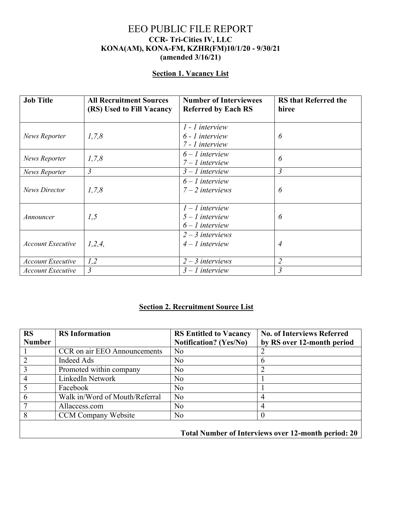## EEO PUBLIC FILE REPORT **CCR- Tri-Cities IV, LLC KONA(AM), KONA-FM, KZHR(FM)10/1/20 - 9/30/21 (amended 3/16/21)**

## **Section 1. Vacancy List**

| <b>Job Title</b>         | <b>All Recruitment Sources</b><br>(RS) Used to Fill Vacancy | <b>Number of Interviewees</b><br><b>Referred by Each RS</b> | <b>RS</b> that Referred the<br>hiree |
|--------------------------|-------------------------------------------------------------|-------------------------------------------------------------|--------------------------------------|
| News Reporter            | 1,7,8                                                       | $1$ - $1$ interview<br>6 - 1 interview<br>7 - 1 interview   | 6                                    |
| News Reporter            | 1, 7, 8                                                     | $6 - 1$ interview<br>$7 - 1$ interview                      | 6                                    |
| News Reporter            | 3                                                           | $3 - 1$ interview                                           | $\mathfrak{Z}$                       |
| <b>News Director</b>     | 1, 7, 8                                                     | $6 - 1$ interview<br>$7 - 2$ interviews                     | 6                                    |
| Announcer                | 1,5                                                         | $1 - 1$ interview<br>$5 - 1$ interview<br>$6 - 1$ interview | 6                                    |
| <b>Account Executive</b> | 1, 2, 4,                                                    | $2 - 3$ interviews<br>$4 - 1$ interview                     | 4                                    |
| <b>Account Executive</b> | 1,2                                                         | $2 - 3$ interviews                                          | $\overline{2}$                       |
| <b>Account Executive</b> | 3                                                           | $3 - 1$ interview                                           | 3                                    |

## **Section 2. Recruitment Source List**

| <b>RS</b>      | <b>RS</b> Information          | <b>RS Entitled to Vacancy</b> | <b>No. of Interviews Referred</b>                   |
|----------------|--------------------------------|-------------------------------|-----------------------------------------------------|
| <b>Number</b>  |                                | <b>Notification?</b> (Yes/No) | by RS over 12-month period                          |
|                | CCR on air EEO Announcements   | N <sub>o</sub>                |                                                     |
| 2              | Indeed Ads                     | No                            | h                                                   |
| 3              | Promoted within company        | No                            |                                                     |
| $\overline{4}$ | LinkedIn Network               | No                            |                                                     |
| 5              | Facebook                       | No                            |                                                     |
| 6              | Walk in/Word of Mouth/Referral | N <sub>o</sub>                | 4                                                   |
| $\overline{7}$ | Allaccess.com                  | No                            | 4                                                   |
| 8              | <b>CCM Company Website</b>     | N <sub>o</sub>                | $\theta$                                            |
|                |                                |                               | Total Number of Interviews over 12-month period: 20 |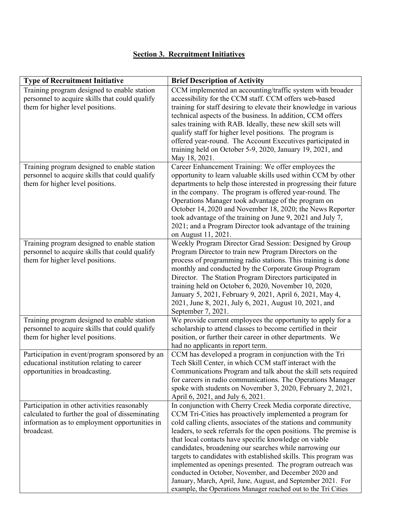## **Section 3. Recruitment Initiatives**

| <b>Type of Recruitment Initiative</b>                                                                                                                          | <b>Brief Description of Activity</b>                                                                                                                                                                                                                                                                                                                                                                                                                                                                                                                                                                                                                                                                           |
|----------------------------------------------------------------------------------------------------------------------------------------------------------------|----------------------------------------------------------------------------------------------------------------------------------------------------------------------------------------------------------------------------------------------------------------------------------------------------------------------------------------------------------------------------------------------------------------------------------------------------------------------------------------------------------------------------------------------------------------------------------------------------------------------------------------------------------------------------------------------------------------|
| Training program designed to enable station<br>personnel to acquire skills that could qualify<br>them for higher level positions.                              | CCM implemented an accounting/traffic system with broader<br>accessibility for the CCM staff. CCM offers web-based<br>training for staff desiring to elevate their knowledge in various<br>technical aspects of the business. In addition, CCM offers<br>sales training with RAB. Ideally, these new skill sets will<br>qualify staff for higher level positions. The program is<br>offered year-round. The Account Executives participated in<br>training held on October 5-9, 2020, January 19, 2021, and<br>May 18, 2021.                                                                                                                                                                                   |
| Training program designed to enable station<br>personnel to acquire skills that could qualify<br>them for higher level positions.                              | Career Enhancement Training: We offer employees the<br>opportunity to learn valuable skills used within CCM by other<br>departments to help those interested in progressing their future<br>in the company. The program is offered year-round. The<br>Operations Manager took advantage of the program on<br>October 14, 2020 and November 18, 2020; the News Reporter<br>took advantage of the training on June 9, 2021 and July 7,<br>2021; and a Program Director took advantage of the training<br>on August 11, 2021.                                                                                                                                                                                     |
| Training program designed to enable station<br>personnel to acquire skills that could qualify<br>them for higher level positions.                              | Weekly Program Director Grad Session: Designed by Group<br>Program Director to train new Program Directors on the<br>process of programming radio stations. This training is done<br>monthly and conducted by the Corporate Group Program<br>Director. The Station Program Directors participated in<br>training held on October 6, 2020, November 10, 2020,<br>January 5, 2021, February 9, 2021, April 6, 2021, May 4,<br>2021, June 8, 2021, July 6, 2021, August 10, 2021, and<br>September 7, 2021.                                                                                                                                                                                                       |
| Training program designed to enable station<br>personnel to acquire skills that could qualify<br>them for higher level positions.                              | We provide current employees the opportunity to apply for a<br>scholarship to attend classes to become certified in their<br>position, or further their career in other departments. We<br>had no applicants in report term.                                                                                                                                                                                                                                                                                                                                                                                                                                                                                   |
| Participation in event/program sponsored by an<br>educational institution relating to career<br>opportunities in broadcasting.                                 | CCM has developed a program in conjunction with the Tri<br>Tech Skill Center, in which CCM staff interact with the<br>Communications Program and talk about the skill sets required<br>for careers in radio communications. The Operations Manager<br>spoke with students on November 3, 2020, February 2, 2021,<br>April 6, 2021, and July 6, 2021.                                                                                                                                                                                                                                                                                                                                                           |
| Participation in other activities reasonably<br>calculated to further the goal of disseminating<br>information as to employment opportunities in<br>broadcast. | In conjunction with Cherry Creek Media corporate directive,<br>CCM Tri-Cities has proactively implemented a program for<br>cold calling clients, associates of the stations and community<br>leaders, to seek referrals for the open positions. The premise is<br>that local contacts have specific knowledge on viable<br>candidates, broadening our searches while narrowing our<br>targets to candidates with established skills. This program was<br>implemented as openings presented. The program outreach was<br>conducted in October, November, and December 2020 and<br>January, March, April, June, August, and September 2021. For<br>example, the Operations Manager reached out to the Tri Cities |